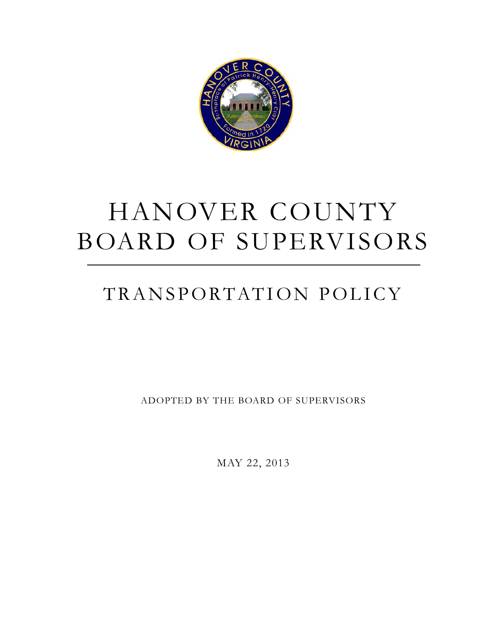

# HANOVER COUNTY BOARD OF SUPERVISORS

## TRANSPORTATION POLICY

ADOPTED BY THE BOARD OF SUPERVISORS

MAY 22, 2013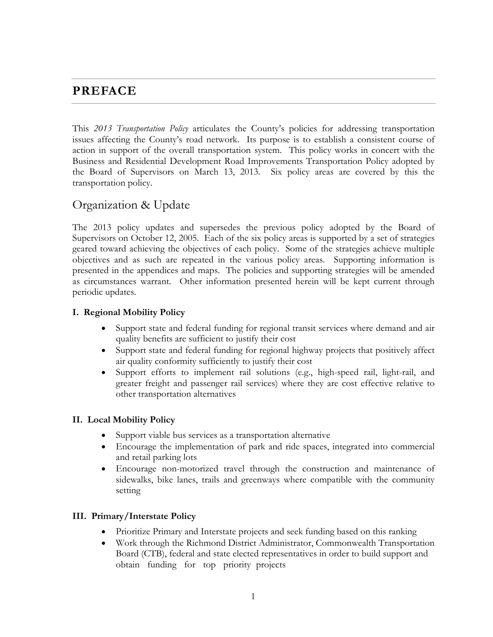## **PREFACE**

This *2013 Transportation Policy* articulates the County's policies for addressing transportation issues affecting the County's road network. Its purpose is to establish a consistent course of action in support of the overall transportation system. This policy works in concert with the Business and Residential Development Road Improvements Transportation Policy adopted by the Board of Supervisors on March 13, 2013. Six policy areas are covered by this the transportation policy.

### Organization & Update

The 2013 policy updates and supersedes the previous policy adopted by the Board of Supervisors on October 12, 2005. Each of the six policy areas is supported by a set of strategies geared toward achieving the objectives of each policy. Some of the strategies achieve multiple objectives and as such are repeated in the various policy areas. Supporting information is presented in the appendices and maps. The policies and supporting strategies will be amended as circumstances warrant. Other information presented herein will be kept current through periodic updates.

#### **I. Regional Mobility Policy**

- Support state and federal funding for regional transit services where demand and air quality benefits are sufficient to justify their cost
- Support state and federal funding for regional highway projects that positively affect air quality conformity sufficiently to justify their cost
- Support efforts to implement rail solutions (e.g., high-speed rail, light-rail, and greater freight and passenger rail services) where they are cost effective relative to other transportation alternatives

#### **II. Local Mobility Policy**

- Support viable bus services as a transportation alternative
- Encourage the implementation of park and ride spaces, integrated into commercial and retail parking lots
- Encourage non-motorized travel through the construction and maintenance of sidewalks, bike lanes, trails and greenways where compatible with the community setting

#### **III. Primary/Interstate Policy**

- Prioritize Primary and Interstate projects and seek funding based on this ranking
- Work through the Richmond District Administrator, Commonwealth Transportation Board (CTB), federal and state elected representatives in order to build support and obtain funding for top priority projects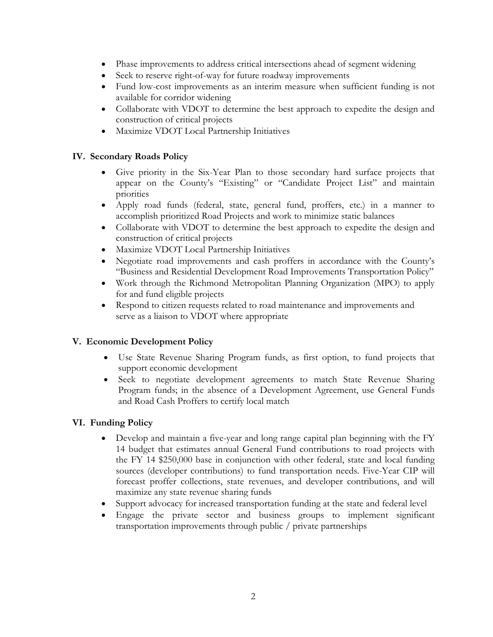- Phase improvements to address critical intersections ahead of segment widening
- Seek to reserve right-of-way for future roadway improvements
- Fund low-cost improvements as an interim measure when sufficient funding is not available for corridor widening
- Collaborate with VDOT to determine the best approach to expedite the design and construction of critical projects
- Maximize VDOT Local Partnership Initiatives

#### **IV. Secondary Roads Policy**

- Give priority in the Six-Year Plan to those secondary hard surface projects that appear on the County's "Existing" or "Candidate Project List" and maintain priorities
- Apply road funds (federal, state, general fund, proffers, etc.) in a manner to accomplish prioritized Road Projects and work to minimize static balances
- Collaborate with VDOT to determine the best approach to expedite the design and construction of critical projects
- Maximize VDOT Local Partnership Initiatives
- Negotiate road improvements and cash proffers in accordance with the County's "Business and Residential Development Road Improvements Transportation Policy"
- Work through the Richmond Metropolitan Planning Organization (MPO) to apply for and fund eligible projects
- Respond to citizen requests related to road maintenance and improvements and serve as a liaison to VDOT where appropriate

#### **V. Economic Development Policy**

- Use State Revenue Sharing Program funds, as first option, to fund projects that support economic development
- Seek to negotiate development agreements to match State Revenue Sharing Program funds; in the absence of a Development Agreement, use General Funds and Road Cash Proffers to certify local match

#### **VI. Funding Policy**

- Develop and maintain a five-year and long range capital plan beginning with the FY 14 budget that estimates annual General Fund contributions to road projects with the FY 14 \$250,000 base in conjunction with other federal, state and local funding sources (developer contributions) to fund transportation needs. Five-Year CIP will forecast proffer collections, state revenues, and developer contributions, and will maximize any state revenue sharing funds
- Support advocacy for increased transportation funding at the state and federal level
- Engage the private sector and business groups to implement significant transportation improvements through public / private partnerships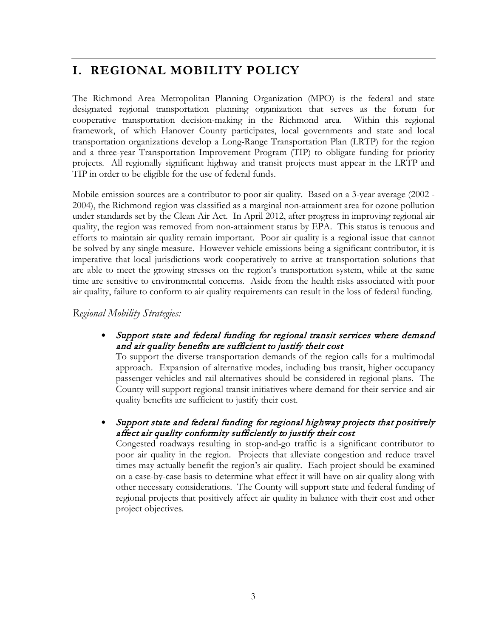## **I. REGIONAL MOBILITY POLICY**

The Richmond Area Metropolitan Planning Organization (MPO) is the federal and state designated regional transportation planning organization that serves as the forum for cooperative transportation decision-making in the Richmond area. Within this regional framework, of which Hanover County participates, local governments and state and local transportation organizations develop a Long-Range Transportation Plan (LRTP) for the region and a three-year Transportation Improvement Program (TIP) to obligate funding for priority projects. All regionally significant highway and transit projects must appear in the LRTP and TIP in order to be eligible for the use of federal funds.

Mobile emission sources are a contributor to poor air quality. Based on a 3-year average (2002 - 2004), the Richmond region was classified as a marginal non-attainment area for ozone pollution under standards set by the Clean Air Act. In April 2012, after progress in improving regional air quality, the region was removed from non-attainment status by EPA. This status is tenuous and efforts to maintain air quality remain important. Poor air quality is a regional issue that cannot be solved by any single measure. However vehicle emissions being a significant contributor, it is imperative that local jurisdictions work cooperatively to arrive at transportation solutions that are able to meet the growing stresses on the region's transportation system, while at the same time are sensitive to environmental concerns. Aside from the health risks associated with poor air quality, failure to conform to air quality requirements can result in the loss of federal funding.

#### *Regional Mobility Strategies:*

• Support state and federal funding for regional transit services where demand and air quality benefits are sufficient to justify their cost

To support the diverse transportation demands of the region calls for a multimodal approach. Expansion of alternative modes, including bus transit, higher occupancy passenger vehicles and rail alternatives should be considered in regional plans. The County will support regional transit initiatives where demand for their service and air quality benefits are sufficient to justify their cost.

• Support state and federal funding for regional highway projects that positively affect air quality conformity sufficiently to justify their cost

Congested roadways resulting in stop-and-go traffic is a significant contributor to poor air quality in the region. Projects that alleviate congestion and reduce travel times may actually benefit the region's air quality. Each project should be examined on a case-by-case basis to determine what effect it will have on air quality along with other necessary considerations. The County will support state and federal funding of regional projects that positively affect air quality in balance with their cost and other project objectives.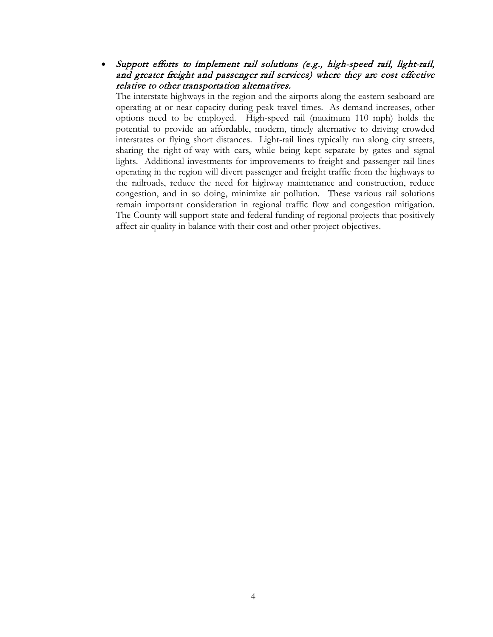• Support efforts to implement rail solutions (e.g., high-speed rail, light-rail, and greater freight and passenger rail services) where they are cost effective relative to other transportation alternatives.

The interstate highways in the region and the airports along the eastern seaboard are operating at or near capacity during peak travel times. As demand increases, other options need to be employed. High-speed rail (maximum 110 mph) holds the potential to provide an affordable, modern, timely alternative to driving crowded interstates or flying short distances. Light-rail lines typically run along city streets, sharing the right-of-way with cars, while being kept separate by gates and signal lights. Additional investments for improvements to freight and passenger rail lines operating in the region will divert passenger and freight traffic from the highways to the railroads, reduce the need for highway maintenance and construction, reduce congestion, and in so doing, minimize air pollution. These various rail solutions remain important consideration in regional traffic flow and congestion mitigation. The County will support state and federal funding of regional projects that positively affect air quality in balance with their cost and other project objectives.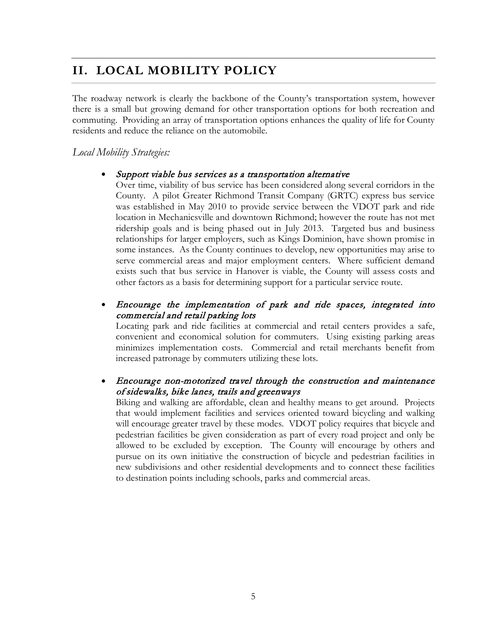## **II. LOCAL MOBILITY POLICY**

The roadway network is clearly the backbone of the County's transportation system, however there is a small but growing demand for other transportation options for both recreation and commuting. Providing an array of transportation options enhances the quality of life for County residents and reduce the reliance on the automobile.

#### *Local Mobility Strategies:*

#### • Support viable bus services as a transportation alternative

Over time, viability of bus service has been considered along several corridors in the County. A pilot Greater Richmond Transit Company (GRTC) express bus service was established in May 2010 to provide service between the VDOT park and ride location in Mechanicsville and downtown Richmond; however the route has not met ridership goals and is being phased out in July 2013. Targeted bus and business relationships for larger employers, such as Kings Dominion, have shown promise in some instances. As the County continues to develop, new opportunities may arise to serve commercial areas and major employment centers. Where sufficient demand exists such that bus service in Hanover is viable, the County will assess costs and other factors as a basis for determining support for a particular service route.

#### • Encourage the implementation of park and ride spaces, integrated into commercial and retail parking lots

Locating park and ride facilities at commercial and retail centers provides a safe, convenient and economical solution for commuters. Using existing parking areas minimizes implementation costs. Commercial and retail merchants benefit from increased patronage by commuters utilizing these lots.

#### • Encourage non-motorized travel through the construction and maintenance of sidewalks, bike lanes, trails and greenways

Biking and walking are affordable, clean and healthy means to get around. Projects that would implement facilities and services oriented toward bicycling and walking will encourage greater travel by these modes. VDOT policy requires that bicycle and pedestrian facilities be given consideration as part of every road project and only be allowed to be excluded by exception. The County will encourage by others and pursue on its own initiative the construction of bicycle and pedestrian facilities in new subdivisions and other residential developments and to connect these facilities to destination points including schools, parks and commercial areas.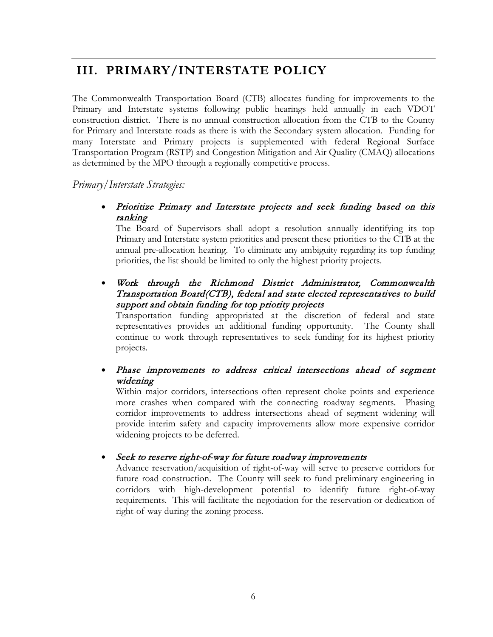## **III. PRIMARY/INTERSTATE POLICY**

The Commonwealth Transportation Board (CTB) allocates funding for improvements to the Primary and Interstate systems following public hearings held annually in each VDOT construction district. There is no annual construction allocation from the CTB to the County for Primary and Interstate roads as there is with the Secondary system allocation. Funding for many Interstate and Primary projects is supplemented with federal Regional Surface Transportation Program (RSTP) and Congestion Mitigation and Air Quality (CMAQ) allocations as determined by the MPO through a regionally competitive process.

*Primary/Interstate Strategies:*

• Prioritize Primary and Interstate projects and seek funding based on this ranking

The Board of Supervisors shall adopt a resolution annually identifying its top Primary and Interstate system priorities and present these priorities to the CTB at the annual pre-allocation hearing. To eliminate any ambiguity regarding its top funding priorities, the list should be limited to only the highest priority projects.

• Work through the Richmond District Administrator, Commonwealth Transportation Board(CTB), federal and state elected representatives to build support and obtain funding for top priority projects

Transportation funding appropriated at the discretion of federal and state representatives provides an additional funding opportunity. The County shall continue to work through representatives to seek funding for its highest priority projects.

• Phase improvements to address critical intersections ahead of segment widening

Within major corridors, intersections often represent choke points and experience more crashes when compared with the connecting roadway segments. Phasing corridor improvements to address intersections ahead of segment widening will provide interim safety and capacity improvements allow more expensive corridor widening projects to be deferred.

• Seek to reserve right-of-way for future roadway improvements

Advance reservation/acquisition of right-of-way will serve to preserve corridors for future road construction. The County will seek to fund preliminary engineering in corridors with high-development potential to identify future right-of-way requirements. This will facilitate the negotiation for the reservation or dedication of right-of-way during the zoning process.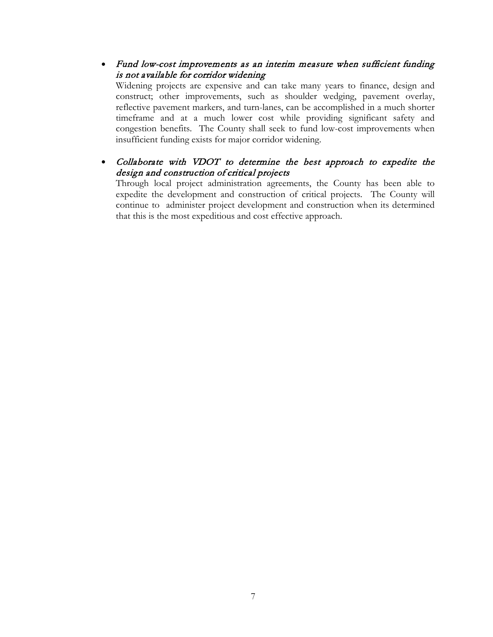#### • Fund low-cost improvements as an interim measure when sufficient funding is not available for corridor widening

Widening projects are expensive and can take many years to finance, design and construct; other improvements, such as shoulder wedging, pavement overlay, reflective pavement markers, and turn-lanes, can be accomplished in a much shorter timeframe and at a much lower cost while providing significant safety and congestion benefits. The County shall seek to fund low-cost improvements when insufficient funding exists for major corridor widening.

#### • Collaborate with VDOT to determine the best approach to expedite the design and construction of critical projects

Through local project administration agreements, the County has been able to expedite the development and construction of critical projects. The County will continue to administer project development and construction when its determined that this is the most expeditious and cost effective approach.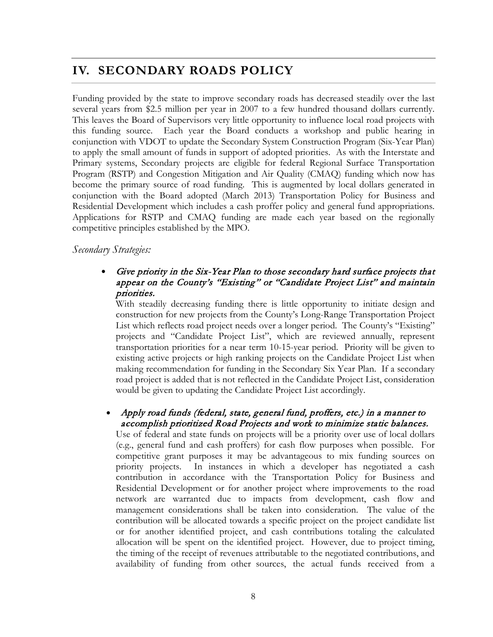## **IV. SECONDARY ROADS POLICY**

Funding provided by the state to improve secondary roads has decreased steadily over the last several years from \$2.5 million per year in 2007 to a few hundred thousand dollars currently. This leaves the Board of Supervisors very little opportunity to influence local road projects with this funding source. Each year the Board conducts a workshop and public hearing in conjunction with VDOT to update the Secondary System Construction Program (Six-Year Plan) to apply the small amount of funds in support of adopted priorities. As with the Interstate and Primary systems, Secondary projects are eligible for federal Regional Surface Transportation Program (RSTP) and Congestion Mitigation and Air Quality (CMAQ) funding which now has become the primary source of road funding. This is augmented by local dollars generated in conjunction with the Board adopted (March 2013) Transportation Policy for Business and Residential Development which includes a cash proffer policy and general fund appropriations. Applications for RSTP and CMAQ funding are made each year based on the regionally competitive principles established by the MPO.

#### *Secondary Strategies:*

#### • Give priority in the Six-Year Plan to those secondary hard surface projects that appear on the County's "Existing" or "Candidate Project List" and maintain priorities.

With steadily decreasing funding there is little opportunity to initiate design and construction for new projects from the County's Long-Range Transportation Project List which reflects road project needs over a longer period. The County's "Existing" projects and "Candidate Project List", which are reviewed annually, represent transportation priorities for a near term 10-15-year period. Priority will be given to existing active projects or high ranking projects on the Candidate Project List when making recommendation for funding in the Secondary Six Year Plan. If a secondary road project is added that is not reflected in the Candidate Project List, consideration would be given to updating the Candidate Project List accordingly.

#### • Apply road funds (federal, state, general fund, proffers, etc.) in a manner to accomplish prioritized Road Projects and work to minimize static balances.

Use of federal and state funds on projects will be a priority over use of local dollars (e.g., general fund and cash proffers) for cash flow purposes when possible. For competitive grant purposes it may be advantageous to mix funding sources on priority projects. In instances in which a developer has negotiated a cash contribution in accordance with the Transportation Policy for Business and Residential Development or for another project where improvements to the road network are warranted due to impacts from development, cash flow and management considerations shall be taken into consideration. The value of the contribution will be allocated towards a specific project on the project candidate list or for another identified project, and cash contributions totaling the calculated allocation will be spent on the identified project. However, due to project timing, the timing of the receipt of revenues attributable to the negotiated contributions, and availability of funding from other sources, the actual funds received from a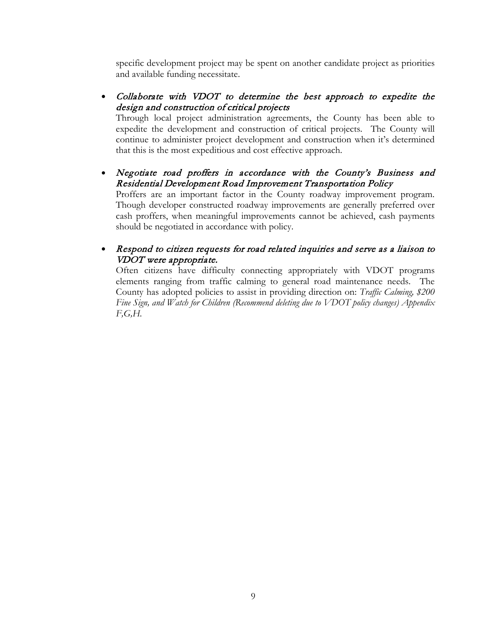specific development project may be spent on another candidate project as priorities and available funding necessitate.

• Collaborate with VDOT to determine the best approach to expedite the design and construction of critical projects

Through local project administration agreements, the County has been able to expedite the development and construction of critical projects. The County will continue to administer project development and construction when it's determined that this is the most expeditious and cost effective approach.

- Negotiate road proffers in accordance with the County's Business and Residential Development Road Improvement Transportation Policy Proffers are an important factor in the County roadway improvement program. Though developer constructed roadway improvements are generally preferred over cash proffers, when meaningful improvements cannot be achieved, cash payments
- Respond to citizen requests for road related inquiries and serve as a liaison to VDOT were appropriate.

should be negotiated in accordance with policy.

Often citizens have difficulty connecting appropriately with VDOT programs elements ranging from traffic calming to general road maintenance needs. The County has adopted policies to assist in providing direction on: *Traffic Calming, \$200 Fine Sign, and Watch for Children (Recommend deleting due to VDOT policy changes) Appendix F,G,H.*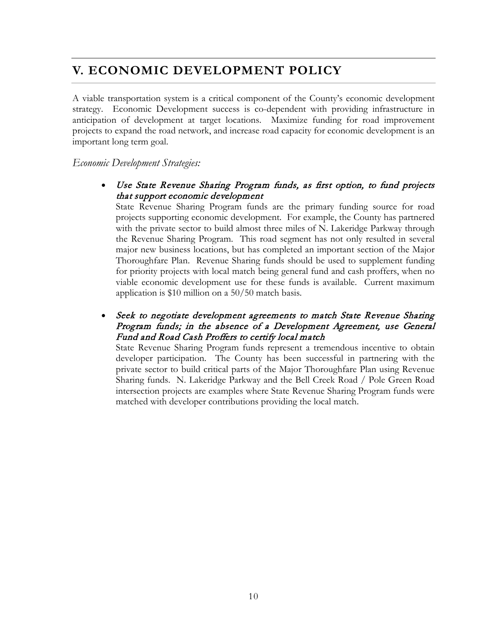## **V. ECONOMIC DEVELOPMENT POLICY**

A viable transportation system is a critical component of the County's economic development strategy. Economic Development success is co-dependent with providing infrastructure in anticipation of development at target locations. Maximize funding for road improvement projects to expand the road network, and increase road capacity for economic development is an important long term goal.

#### *Economic Development Strategies:*

Use State Revenue Sharing Program funds, as first option, to fund projects that support economic development

State Revenue Sharing Program funds are the primary funding source for road projects supporting economic development. For example, the County has partnered with the private sector to build almost three miles of N. Lakeridge Parkway through the Revenue Sharing Program. This road segment has not only resulted in several major new business locations, but has completed an important section of the Major Thoroughfare Plan. Revenue Sharing funds should be used to supplement funding for priority projects with local match being general fund and cash proffers, when no viable economic development use for these funds is available. Current maximum application is \$10 million on a 50/50 match basis.

Seek to negotiate development agreements to match State Revenue Sharing Program funds; in the absence of a Development Agreement, use General Fund and Road Cash Proffers to certify local match

State Revenue Sharing Program funds represent a tremendous incentive to obtain developer participation. The County has been successful in partnering with the private sector to build critical parts of the Major Thoroughfare Plan using Revenue Sharing funds. N. Lakeridge Parkway and the Bell Creek Road / Pole Green Road intersection projects are examples where State Revenue Sharing Program funds were matched with developer contributions providing the local match.